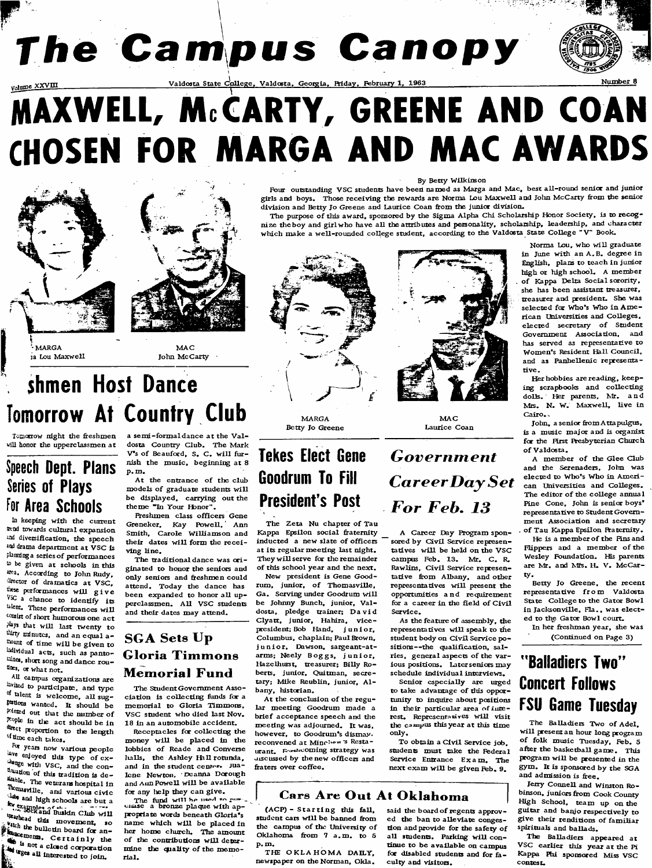# **The Campus Canopy**

Valdosta State College, Valdosta, Georgia, Friday, February 1, 1963<br> **Valdosta State College, Valdosta, Georgia, Friday, February 1, 1963** 

# MAXWEU, McCARTY, 6REEME AND COAM CHOSEM FOR MARGA AMD MAC AWARDS





**- MARGA ia Lou Maxwell**

**M AC John McCarty**

## **shmen Host Dance Tomorrow At Country Club**

**Tomonow night the freshmen will honor the upperclassmen at**

## **Speech Dept. Plans Series of Plays for Area Schools**

**In keeping with the current neod towards cultural expansion snd diversification, the speech and drama department at VSC is** planning a series of performances **K) be given at schools in this area. According to John Rudy, ^ctor of dramatics at VSC, ^^ese performances w ill give VSC a chance to identify its** talent. These performances will **^^ist of short humorous one act phys that will last twenty to** thery minutes, and an equal a**c^ount of time w ill be given to hdividual acts, such as pento-Luincs, short song and dance rou**  thes, or what not.

**All campus organizations are** hvited to participate, and type of talent is welcome, all sug**tenions wanted. It should be** pointed out that the number of **People in tlie act should be in** drect proportion to the length **of time each takes.**

**Re years now various people** lave enjoyed this type of ex**with VSC, and tlic con- ^^^don c)f this tradition is d e - The veterans hospital in \*h^masviiie, and various civic** *Clubs* and high schools are but a **\* x** angles of the club will <sup>theathead</sup> this movement, so **bulletin** board for an-**Certainly the**<br> **Certainly the**<br> **Certainly the**<br> **Certainly the**  $\mathbf{F}$   $\mathbf{w}$  a closed corporation **t ^ges all interested to join.**

a semi-formal dance at the Val**dosta Country Club. The Mark** V's of Beauford, S. C. will fur**nish the music, beginning at 8 p. m.**

At the entrance of the club models of graduate students will **be displayed, carrying out the theme \*Tn Your Hbnor".**

**Freshmen class officers Gene Greneker, Kay Powell. Ann Smith, Carole Williamson and** their dates will form the recei**ving line.**

**The traditional dance was originated to honor the senicxs and only seniors and ffeshmen could attend. Today the dance has** been expanded to honor all upperclassmen. All VSC students **and their dates may attend.**

### **SGA Sets Up Gloria Tim m ons Memorial Fund**

**The Student Government Association is collecting funds fee a memorial to Gloria Timmons, VSC student who died last Nov. 18 in an automobile accident.**

**Receptacles fee collecting the money w ill be placed in the** lobbies of Reade and Converse halls, the Ashley Hall rotunda, and in the student center. Jualene Newton, Deanna Dorough and Aun Powell will be available **for any lielp they can give.**

**The fund will be used to pure**<br> **cluste a bronze plaque with appeopeiate words beneath Gloria's** name which will be placed in **her home church. The amount** of the contributions will determine the quality of the memo**rial.**

#### **By Betty Wilkinson**

**Four outstanding VSC students have been named as Marga and Mac, best all-round senior and junior girls and boys. Those receiving the rewards are Norma Lou Maxwell and John McCarty ffom tiie senior division and Betty Jo Greene and Laurice Coan &om the junior division.**

The purpose of this award, sponsored by the Sigma Alpha Chi Scholarship Honor Society, is to recog**nize the boy and girl who have all the attributes and personality, scholarship, leadership, and character which make a well-rounded college student, according to the Valdosta State College "V " Book.**



**MARGA Betty Jo Greene**

## **Tekes Elect Gene** *Government* **Goodrum To Fill President's Post**

The Zeta Nu chapter of Tau Kappa Epsilon social fraternity inducted a new slate of officers **at its regular meeting last night. They w ill serve for the remainder** of this school year and the next.

**New president is Gene Good**rum, junior, of Thomasville, Ga. Serving under Goodrum will be Johnny Bunch, junior, Val**dosta, pledge trainer: David** Clyatt, junior, Hahira, vice**president; Bob Hand, junior, Columbus, chaplain; Paul Brown, junior, Dawson, sargeant-atarms; Neely Boggs, junior, Hazelhurst, treasurer; Billy Roberts, junior, Quitman, secre**tary; Mike Reublin, junior, Al**bany, historian.**

At the conclusion of the regu**lar meeting Goodrum made a brief acceptance speech and tlie meeting was adjourned. It was, however, to Goodrum's dismay,** reconvened at Minchen<sup>3</sup> Restaurant. Foreholding strategy was **uiscussed by the new officers and** fraters over coffee.



MAC **Laurice Coan**

## *CareerDaySet* **For Feb. 13**

A Career Day Program sponsored by Civil Service representatives will be held on the VSC **campus Feb. 13. Mr. C . R.** Rawlins, Civil Service represen**tative from Albany, and other** representatives will present the **opportunities an d requirement** for a career in the field of Civil **Service.**

As the feature of assembly, the representatives will speak to the student body on Civil Service po**sitions— the qualification, sa l**ries, general aspects of the var**ious pesitions. Later seniors may schedule individual interviews.**

**Senior especially are urged** to take advantage of this oppor**tunity to inquire about positions in their particular area of inretest. Represent^^tives w ill visit the c^\*=pus this year at this time only.**

To obtain a Civil Service job **students must take the Federal Service Entrance Exam. The next exam w ill be given Feb. 9.**

#### **Cars Are Out At Oklahoma**

**(ACP)-starting thir faU.** student cars will be banned from the campus of the University of Oklahoma from 7 a.m. to 5 **p .m .**

**THE OKLAHOMA DAILY, newspaper on the Norman, Okla.** said the board of regents approv**ed the ban to alleviate conges**tion and provide for the safety of all students. Parking will con**tinue to be available on campus for disabled students and for fa**culty and visitors.

Norma Lou, who will graduate in June with an A.B. degree in **English, plans to teach in junior high or high school. A member** of Kappa Delta Social scrority, **she has been assistant treasurer, treasurer and president. She was** selected for Who's Who in Ame**rican Universities and Colleges,** elected secretary of Student **Government Association, and has served as representative to Women's Resident Hall Council, and as Panhellenic representative.**

**Her hobbies are reading, keeping scrapbooks and collecting** dolls. Her parents, Mr. and Mrs. N. W. Maxwell, live in **Cairo..**

**John, a senior ffomAttapulgus, is a music major and is organist for the First Rresbyterian Church** of Valdosta.

A member of the Glee Club **and the Serenaders, John was elected to Who's Who in American universities and Colleges.** The editor of the college annual **Pine Cone, John is senior boys' representative to Student Government Association and secretary** of Tau Kappa Epsilon Fraternity.

**He** is a member of the Fins and Flippers and a member of the **Wesley Foundation. Iffs parents** are Mr. and Mfs. H. V. McCar**ty.**

**Betty Jo Greene, the recent representative from Valdosta State College to the Gator Bowl** in Jacksonville, Fla., was elected to the Gator Bowl court.

**In her hreshman year, she was (Continued on Page 3)**

## "**Balladiers Two" Concert Follows FSU Game Tuesday**

The Balladiers Two of Adel. **w ill present an hour long program** of folk music Tuesday, Feb. 5 after the basketball game. This program will be presented in the **gym . It is sponswed by the SGA and admission is &ee.**

**Jerry Connell and Winston Ro**binson, juniors from Cook County **High School, team up on the guitar and banjo respectively to** give their renditions of familiar **spirituals and ballads.**

**The BaUadiers appeared at VSC earlier this year at the Pi Kappa Phi spensored Miss VSC contest.**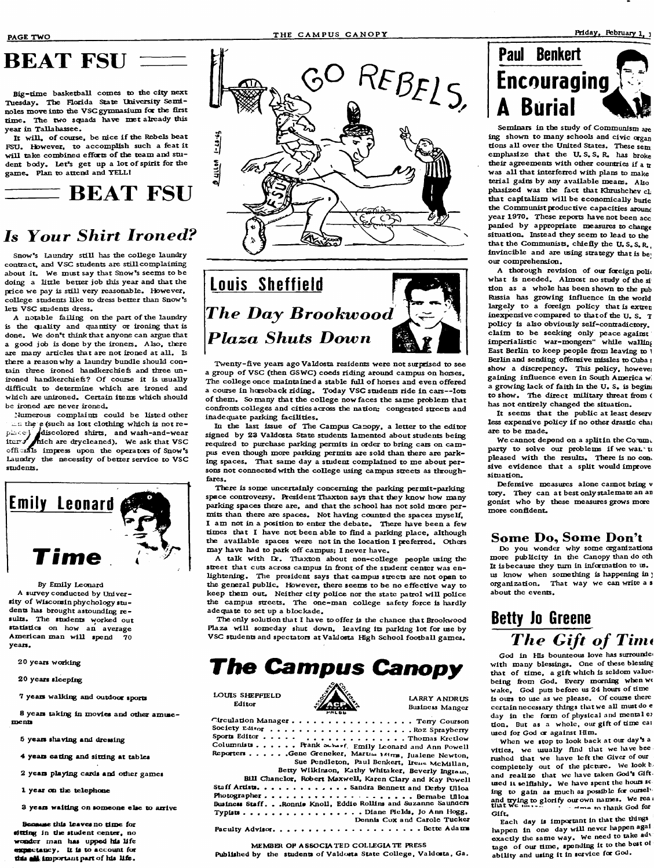## **BEAT FSU**

**B ig-tim e basketball comes to the city next** Tuesday. The Florida State University Semi**noles move into the VSC gymnasium for the Srst tim e. The two squads have met already this year in Tallahassee.**

It will, of course, be nice if the Rebels beat FSU. However, to accomplish such a feat it will take combined efforts of the team and student body. Let's get up a lot of spirit for the **gam e. Plan to attend and YELL!**

## $\equiv$ **BEAT FSU**

## **Is Your Shirt Ironed?**

Snow's Laundry still has the college laundry **contract, and VSC students are still complaining about it. We must say that Snow's seems to be doing a little better job this year and that the price we pay is still very reasonable. However, co llege students like to dress better than Snow's lets VSC students dress.**

A notable failing on the part of the laundry is the quality and quantity or ironing that is **done. We don't think that anyone can argue that a good job is done by the ironers. A lso, there** are many articles that are not ironed at all. Is **there a reason why a laundry bundle should contain three ironed handkerchief and three un**ironed handkerchiefs? Of course it is usually **difficult to determine which are ironed and winch are unironed. Certain items which should be ironed are never ironed.**

**Numerous complaints could be listed other** the e (such as lost clothing which is not re**pD iC ^ isd isco lored shirts, and wash -and-wear iter/** hich are drycleaned). We ask that VSC officials impress upon the operators of Snow's Laundry the necessity of better service to VSC **students.**



**By Emily Leonard A survey conducted by Univer**sity of Wisconsin phychology stu**dents has brought astounding re**  sults. The students worked out **statistics on how an average** American man will spend 70 **years.**

**20 years working**

**20 years sleeping**

**7 years walking and outdoor sports**

8 years taking in movies and other amuse**ments**

**6 years shaving and dressing**

**4 years eating and sitting at tables**

**2 years playing cards and other games**

1 year on the telephone

**3 years waiting on sonaeone else to arrive**

**this leaves no time for** sitting in the student center, no **wossdcT man has upped his life oKpnetancy, It is to account for** this **all** important part of his life.





Twenty-five years ago Valdosta residents were not surprised to see a group of VSC (then GSWC) coeds riding around campus on horses. The college once maintained a stable full of horses and even offered **a course in horseback riding. Today VSC students ride in cars— lots** of them. So many that the college now faces the same problem that **confronts colleges and cities across the nation: congested streets and inadequate parking facilities.**

In the last issue of The Campus Canopy, a letter to the editor **signed by 23 Valdosta State students lamented about students being** required to purchase parking permits in order to bring cars on cam**pus even though more perking permits are sold than there are parking speces. That same day a student complained to me about per**sons not connected with the college using campus streets as through**fares.**

There is some uncertainly concerning the parking permit-parking **spece controversy. RresidentThaxton says that they know how many parking speces there are, and that the school has not sold more permits than there are spaces. Not having counted the speces myself, I am not in a position to enter the debate. There have been a few** times that I have not been able to find a parking place, although the available spaces were not in the location I preferred. Others may have had to park off campus; I never have.

A talk with Dr. Thaxton about non-college people using the street that cuts across campus in front of the student center was en**lightening. The president says that campus streets arc not open to the general public. However, there seems to be no effective way to** keep them out. Neither city police nor the state patrol will police the campus streets. The one-man college safety force is hardly **adequate to set up a blockade.**

The only solution that I have to offer is the chance that Brookwood Plaza will someday shut down, leaving its parking lot for use by **VSC students and spectators at Valdosta HBgh School foothall games.**

## **The Campus Canopy**

LOUIS SHEFFIELD **ANDRUS**<br>
Editor **ANDRUS**<br>
Editor **ANDRUS** 



**Business Manger**

Circulation Manager. . . . . . . . . . . . . . . . . . Terry Courson **Society e d i t o r ................................................................ R^z Spraybcny Species E** . . . . Thomas Kretlow Columnists . . . . . . Frank Scharf. Emily Leonard and Ann Powell Reporters . . . . . . Gene Grencker, Martum 144ms, Jualene Newton, Sue Pendleton, Paul Benkert, Irene McMillan, **Betty Wilkinson, Kathy Whitaker, Beverly Ingram. Bill Chanclor, Robert MaxweU, Karen Clary and Kay PowcH Staff Artists. . . . . . . . . . . . . Sandra Bennett and Derby Ulloa Photographer............................................. Bemabe UHoa Business Staff. . .Ronnlw KnoU, Eddie Rollins and Suzanne Sauna^^rs Typists .......................... Diane Fields, Jo Ann Hogg, Dennis Cox and Carole Tucker Faculty Advisor....................................................................Bette Adams**

#### **MEMBER OP ASSOCIATED COLLEGIATE PRESS**

Published by the students of Valdosta State College, Valdosta, Ga.



Seminars in the study of Communism are **ing shown to many schools and civic organ Rons a l l over the United States. These sem emphasize that the U. S. S. R. has broke their agreements with other countries if a tr** was all that interferred with plans to make terial gains by any available means. Also **phasized was the fact that Khrushchev cL** that capitalism will be economically buric the Communist productive capacities around **year 1970. These reports have not been acc** panied by appropriate measures to change situation. Instead they seem to lead to the **that the Communists, chicRy the U. S. S. R., invincible and are using strategy that is be^ our comprehension.**

A thorough revision of our foreign polic what is needed. Almost no study of the si **Ron as a whole has been shown to the pub Russia has growing influence in the world** largely to a foreign policy that is extren inexpensive compared to that of the U.S. **T pelicy is also obviously self-contradictory, c laim to be seeking only peace against impeRalisRc war-mongers" while walling** East Berlin to keep people from leaving to Berlin and sending offensive missles to Cuba i **show a discrepency. This pelicy, howevei** gaining influence even in South America wi a growing lack of faith in the U. S. is begini to show. The direct military threat from ( has not entirely changed the situation.

**It seems that the public at least dcserv** less expensive policy if no other drastic chai **are to be made.**

We cannot depend on a split in the Co.um. party to solve our problems if we wan u **pleased with the results. There is no con^ sive evidence that a split would improve** situation.

**Deferisive measures alone caimot bring v tory. They can at best only stalemate an at gonist who by these measures grows more more conRdenr,**

#### **Some Do, Some Don't**

Do you wonder why some organizations **more publicity in the Canopy than do oth** It is because they turn in information to us. us know when something is happening in **j** organization. That way we can write a s **about the events.**

## **Betty lo Greene** The Gift of Time

God in His bounteous love has surrounded with many blessings. One of these blessing that of time, a gift which is seldom value, being from God. Every morning when we **wake. Cod puts before us 24 hours of time** is ours to use as we please. Of course there certain necessary things that we all must do e day in the form of physical and mental e? **Ron. But as a whole, our giR of Rme cai used for God or against Him.**

**When we stop to look back at our day's a** vities, we usually find that we have bee rushed that we have left the Giver of our completely out of the picture. We look **h** and realize that we have taken God's Gift**used it selRshly. We fiavo spent the hours sc ing to gain as much as pessible for oursch** and **trying to glorify our own names.** We rea *i* that we next a *i* for the me to thank God for **Gifr,**

**Each day is important in Riat the things !iappen in one day wiU never asppen agai oxacRy die same way. We need to take adv** tage of our time, spending it to the best of **abiUty and using it in service fcr God.**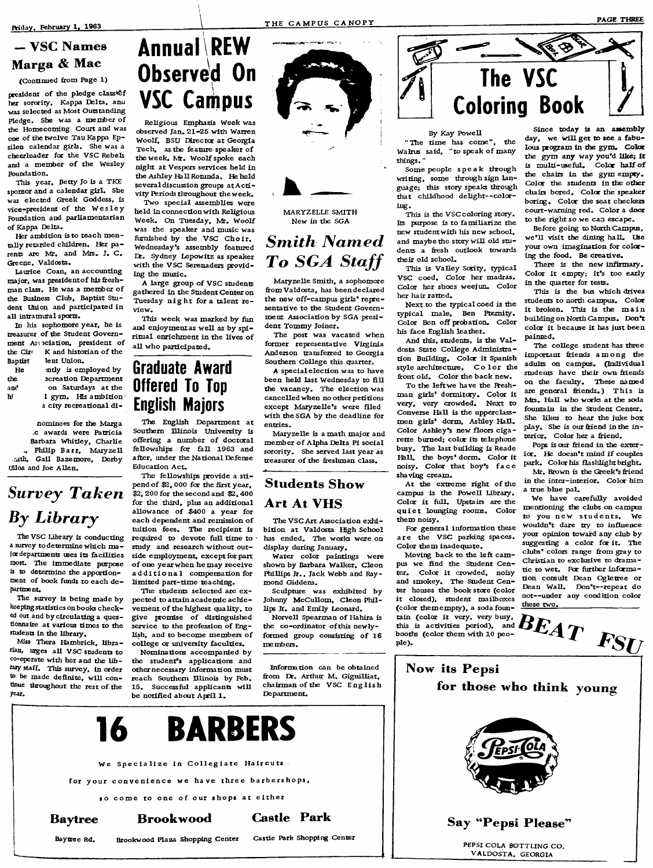#### **— VSC Names Marga & Mac**

**(Continued Rom Page 1)**

president of the pledge class<sup>1</sup> **her sorority. Kappa Delta, anu was selected as Most Outstanding** Pledge. She was a member of **the Homecoming Court and was one of the twelve Tau Kappa Ep**silon calendar girls. She was a **cheerleader for the VSC Rebels** and a member of the Wesley **Foundation.**

**This year, Betty Jo is a TKE sponsor and a calendar girl. She** was elected Greek Goddess, is vice-president of the Wesley **Foundation and parliamentarian of Kappa Delta.**

**Her ambition is to teach mentally retarded children. Her parents are Mr. and Mrs. J. C . Greene, Valdosta.**

**Laurice Coan, an accounting** major, was president of his freshman class. He was a member of **the Business Club, Baptist Student Union and participated in all intramural sports.**

**In his sophomore year, he is treasurer** of the Student Government Association, president of **the Circ** K and historian of the<br>Rantist lent Union. **BapRst Tent Union.**

| He  | ntly is employed by     |
|-----|-------------------------|
| the | ecreation Department    |
| anc | on Saturdays at the     |
| hi  | I gym. His ambition     |
|     | a city recreational di- |

**nominees for the Marga c awards were Patricia Bathara Whitley, Charlie** Philip Barr, Maryzell **nith, Gail Bazemore, Dethy UUoa and Joe Allen.**

## **Survey Taken By Library**

**The VSC Library is conducting a survey to determine which major departments uses its facilities most. The immediate purpose is to determine the apportion**ment of book funds to each de**partmenr.**

**The survey is being made by keeping statistics on books check**ed out and by circulating a ques**tionnaire at various times to the students in the library.**

**Miss Thera Hambrick, librarian, urges a ll VSC students to co-operate with her and the lib - Miy staff. This survey, in order to be made deRnite, w ill con**tinue throughout the rest of the **year.**

## **Annua! \REW Observed On VSC Campus**

**Religious Emphasis Week was observed Jan. 21-25 with Warren Woolf^ BSU Director at Georgia** Tech, as the feature speaker of **the week. LR. W oo lf spoke each niglit at Vespers services held in the Ashley Hall Rotunda. He held** several discussion groups at Activity Periods throughout the week.

**Two special assemblies were held in connecRon with Religious** Week. On Tuesday, Mr. Woolf **was the speaker and music was** furnished by the VSC Choir. **Wednesday's assembly featured EC. Sydney Lepowitz as speaker with the VSC Serenaders providing the music.**

A large group of VSC students **gathered in the Student Center on Tuesday n ight fora talent review.**

**This week was marked by fun** and enjoyment as well as by spiritual enrichment in the lives of all who participated.

## **Graduate Award Offered To Top English Majors**

**The English Department at Southern Illinois University is** offering a number of doctoral **fellowships for faU 1963 and** after, under the National Defense Education Act.

The fellowships provide a stipend of \$2,000 for the first year, **\$2, 200 for the second and \$2,400** for the third, plus an additional allowance of \$400 a year for each dependent and remission of tuition fees. The recipient is required to devote full time to **study and research without outside employmenr, except for part** of one year when he may receive additional compensation for limited part-time teaching.

**The students selected are expected to attain academic achie**vement of the highest quality, to give promise of distinguished service to the profession of English, and to become members of college or university faculties.

**Nominations** accompanied by the student's applications and other necessary information must **reach Southern Illinois by Feb.** 15. Successful applicants will be notified about April 1.



**MARYZELLE SMITH New in the SGA**

### **Smith** Named **To SGA Staff**

**Maryzelle Smith, a sophomore Rom Valdosta, has beendeclared** the new off-campus girls' representative to the Student Government Association by SGA presi**dent Tommy Joiner.**

**The post was vacated when** former representative Virginia **Anderson transferred to Georgia Southern College this quarter.**

A special election was to have **been held last Wednesday to RU** the vacancy. The election was cancelled when no other petitions except Maryzelle's were filed **with the SGA by the deadline for** entries.

**Maryzelle is a math major and member o f Alpha Delta Pi social sorority. She served last year as treasurer of the freshman class.** 

#### **Students Show**

#### **Art At VHS**

The VSC Art Association exhi**bition at Valdosta High School has ended. The works were on display during January.**

**Water color paintings were shown by Barbara Walker, Cleon Phillips Jr., Jack Webb and Raymond Giddens.**

**Sculpture was exhibited by Johnny McCuUom, Cleon Phillips Jr. and Emily Leonard.**

**Norvell Spearman of Hahira is** the co-ordinator of this newlyformed group consisting of 16 **members.**

from Dr. Arthur M. Gignilliat, chairman of the VSC English **Department.**



**By Kay Powell**

"The **rime** has come", the **Walrus** said, "to speak of many  $t$ *hings.* 

**Some people speak through** writing, some through sign lan**guage; this story speaks through that childhood delight--coloarthg.**

**This is the VSC coloring story.** Its purpose is to familiarize the **new student with his new school,** and maybe the story will old students a fresh outlook towards **their old school.**

**This is Va lley Scrity, typical VSC coed. Color her madras. Color her shoes weejuru Color** her hair ratted.

**Next to the typical coed is the typical male, Ben Ptemity.** Color Ben off probation. Color **his face English leather.**

And this, students, is the Val**dosta State College Administra-Ron Building. Colcr it Spanish style architecture. Color the** front old. Color the back new.

To the left we have the Reshman girls<sup>\*</sup> dormitory. Color it **very, very crowded. Next to** Converse Hall is the upperclassmen girls' dorm, Ashley Hall. Color Ashley's new floors ciga**rette burned; color its telephone busy. The last building is Reade l& U , the boys' dorm. Color it noisy. Color that boy's face shaving cream.**

At the extreme right of the **campus is the Powell Library. Color it RiH. Upstairs are the quiet lounging rooms. Color them noisy.**

For general information these are the VSC parking spaces. **Color them inadequate.**

Moving back to the left campus we find the Student Cen**ter. Color it crowded, noisy and smokey. The Student Center houses the book store (color it closed), student mailboxes (color them empty), a soda fountain (color it very, very busy, this is activities period), and booths (color them with 10 people).**

**Since today is an assembly** day, we will get to see a fabulous program in the gym. Color **the gym any way you'd like; it** is multi-useful. Color half of **the chairs in the gym empty-Color the students in the other chairs bored. Color the speaker boring. Color the seat checkers court-warning red. Color a door to the right so we can escape.**

**Before going to North Campus, w e 'll visit the dining hall. Use** your own imagination for coloring the food. Be creative.

There is the new infirmary. **Color it empty; it's too early in the quarter for tests.**

This is the bus which drives **students to north campus. Color it broken. This is the main building on North Campus. Don't color it because it has just been painted.**

**The college student has three** important friends among the **adults on campus. (Individual** students have their own friends **on the faculty. These named** are general friends.) This is **NRs. Hall who works at the soda fountain in the Student Center. She likes to hear the juke box** play. She is our friend in the interior. Color her a friend.

Pops is our friend in the exterior. He doesn't mind if couples park. Color his flashlight bright. Mr. Brown is the Greek's friend

in the inter-interior. Color him **a Rue blue pal.**

**We have carefully avoided** mentioning the clubs on campus to you new students. We **wouldn't dare try to influence your opinion toward any club by suggesting a color for ir. The** clubs' colors range from gray to Christian to exclusive to drama-**Rc to wer. For further infcrma-Ron consult Dean pgletree or** Dean Wall. Don't-repeat do not--under any condition color **these two. \_\_\_\_\_**



**VALDOSTA, GEORGIA**



**Information** can be obtained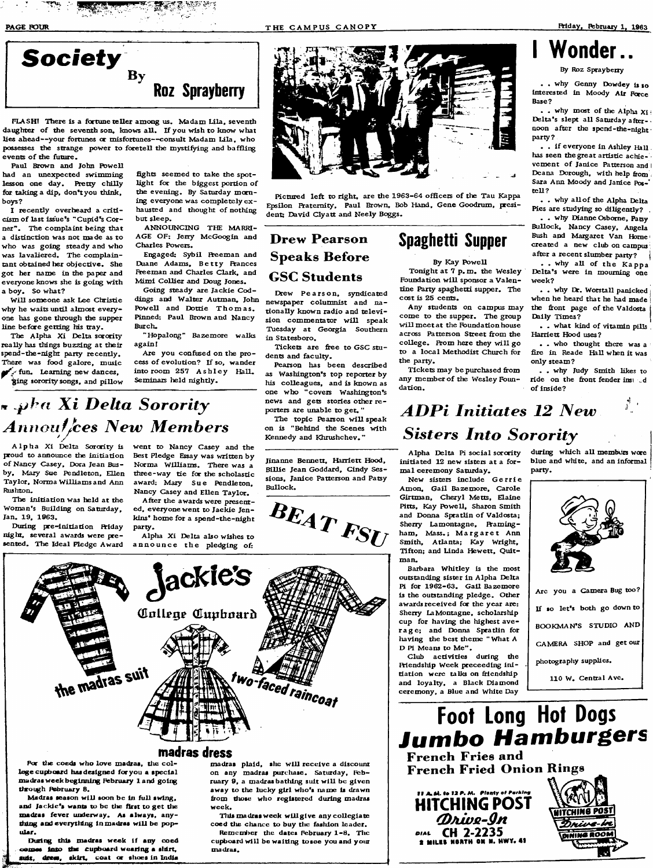

े बैंग

**PLASH! There is a fortune teller among us. Madam Lila, seventh** daughter of the seventh son, knows all. If you wish to know what **lies ahead— your fortunes or misfortunes— consult Madam Lila, who possesses the strange power to foretell the mystifying and baffling** events of the future.

**Paul Brown and John Powell had an unexpected swimming lesson one day. Rretty chilly for taking a dip, dontyou think, boys?**

**I recently overheard a criti**cism of last issue's "Cupid's Cor**ner". The complaint being that a distinction was not made as to who was going steady and who was lavaliered. The complaintant obtained her objective. She got her name in the paper and everyone knows the is going with a boy. So what?**

**W ill someone ask Lee Christie why he waits until almost everyone has gone through the supper line before getting his tray.**

**The Alpha Xi Delta sorority really has things buzzing at their spend-the-night party recently. There was food galore, music fun. Learning new dances. ^ing sorority songs, and pillow** fights seemed to take the spotlight for the biggest portion of the evening. By Saturday morn**ing everyone was completely ex**  hausted and thought of nothing **but sleep.**

**ANNOUNCING THE MARRI-AGE OF: Jerry McGoogin and Charles Powers.**

**Engaged: Sybil Rceeman and Duane Adams, Betty Prances Freeman and Charles Clark, and Mimi Collier and Doug Jones.** 

Going steady are Jackie Cod**dings and Walter Autman, John Powell and Dottie Thomas. Pinned: Paul Brown and Nancy Burch.**

**"Hopalong" Bazemore walks again!**

**Are you confused on the pro**cess of evolution? If so, wander **into room 257 Ashley HalL.** Seminars held nightly.

## **Mr Xi Delta Sorority Annoul**/ces New Members

**y Alpha X i Delta Sorority is proud to announce the initiation of Nancy Casey, Dora Jean Busby, Mary Sue Pendleton, Ellen** Taylor, Norma Williams and Ann **Rushton.**

**The initiation was held at the Woman's Building on Saturday, Jan. 19, 1963.**

**During pre-initiation Friday nighr, several awards were presented. The Ideal Pledge Award** **went to Nancy Casey and the Best Pledge Essay was written by** Norma Williams. There was a **three-way tie for the scholastic** award: Mary Sue Pendleton, **Nancy Casey and Ellen Taylor.**

**After the awards were presented, everyone went to Jackie Jenkins' home for a spend-the-night parw . Alpha Xi Delta also wishes to**

**announce the pledging of^**

**Jinanne Bennett, Harriett Hood, Billie Jean Goddard, Cindy Sessions, Janice Patterson and Patsy Bullock.**

BEAT FSU



Pictured left to right, are the 1963-64 officers of the Tau Kappa **Epsilon Rratemity, Paul Brown, Bob Hand, Gene Goodrum, president: David Clyatt and Nee ly Boggs.**

### **Drew Pearson Speaks Before GSC Students**

**Drew Pearson, syndicated newspaper columnist and nationally known radio and television commentator w ill speak Tuesday at Georgia Southern in Statesboro.**

Tickets are free to GSC stu**dents and faculty.**

**Pearson has been described as Washington's top reporter by his colleagues, and is known as one who "covers Washington's news and gets stories other reporters are unable to ger, "**

The topic Pearson will speak **on is "Behind the Scenes with Kennedy and Khrushchev. "**

**Spaghetti Supper**

**By Kay Powell** Tonight at 7 p.m. the Wesley

Foundation will sponsor a Valentine Party spaghetti supper. The **cost is 25 cents.**

**Any students on campus may come to the supper. The group** will meet at the Foundation house across Patterson Street from the college. From here they will go to a local Methodist Church for **the party.**

Tickets may be purchased from any member of the Wesley Foun**dation.**

## **Wonder..**

**By Roz Spraybetry**

**.** . why Genny Dowdey is so interested in Moody Air Force **Base?**

**. . why most of the Alpha Xii** Delta's slept all Saturday after**noon after the spend-the-night party?**

**. . if everyone in Ashley Hall has seen the great artistic achie**vement of Janice Patterson and **Dcana Dorough, with help ffom Sara Ann Moody and Janice Pos-' tell?**

**.** . why all of the Alpha Delta **Pies are studying so diligently? ,**

**. . why Dianne Osborne, Patsy Bullock, Nancy Casey, Angela Bush and Margaret Van Home\* created a new club on campus after a recent slumber party? {**

**. . why a ll of the Kappa Delta's were in mourning one week?**

**. . why Worstall panicked j when he heard that he had made j** the front page of the Valdosta **Daily Times?**

**. . what kind of vitamin piUs Harriett Hood uses?**

**. . who thought there was a Rre in Reade Hall when it was only steam?**

**. . why Judy Smith likes to ride on the ffont fender insi d of inside?**

 $\vec{y}$ 

## *ADPi Initiates 12 New* **Sisters Into Sorority**

**Alpha Delta Pi social sorcrity initiated 12 new sisters at a form a l ceremony Saturday.**

**New sisters include Gerrie Amon, Gail Bazemore, Carole Girtman, Cheryl Metts, Elaine Pitts, Kay Powell, Sharon Smith** and Donna Spratlin of Valdosta; **Sherry Lamontagne, Framingham, Mass.; Margaret Arm Smith, Atlanta: Kay Wright,** Tifton; and Linda Hewett, Quit**man.**

**Bathara Whitley is the most outstanding sister in Alpha Delta Pi for 1962-63. Gail Bazemore is the outstanding pledge. Other awards received for the year are: Sherry LaMontagne, scholarship cup for having the highest ave rage; and Donna Sprathn for** having the best theme "What A D Pi Means to Me".

**Club activities during the Friendship Week preceeding initiation were talks on Ricndship** **party.**

during which all memburs wore **blue and white, and an informal**







For the coeds who love madras, the col**lege cupboard has designed for you a special madras week beginning February lartd going through February 8.**

**Madras season wiU soon be in full swing,** and Jackie's wants to be the first to get the **madras fever underway. As always, anything anai everytiiing in madras wiU be popular.**

**During this madras week if any coed comes into the cupboard wearing a a!drr,** suit, **skirr, coat or shoes in India**

**madras plaid, she w ill receive a discount on any madras purc!msc. Saturday, Feb**ruary 9, a madras bathing suit will be given away to the lucky girl who's name is drawn **Rom diose who registered during madras week.**

**Tliis madras week w ill give any collegiate coed die chance to buy t!ic fashion leader. Remember** the dates February 1-8. The cupboard will be waiting to see you and your **tnadras.**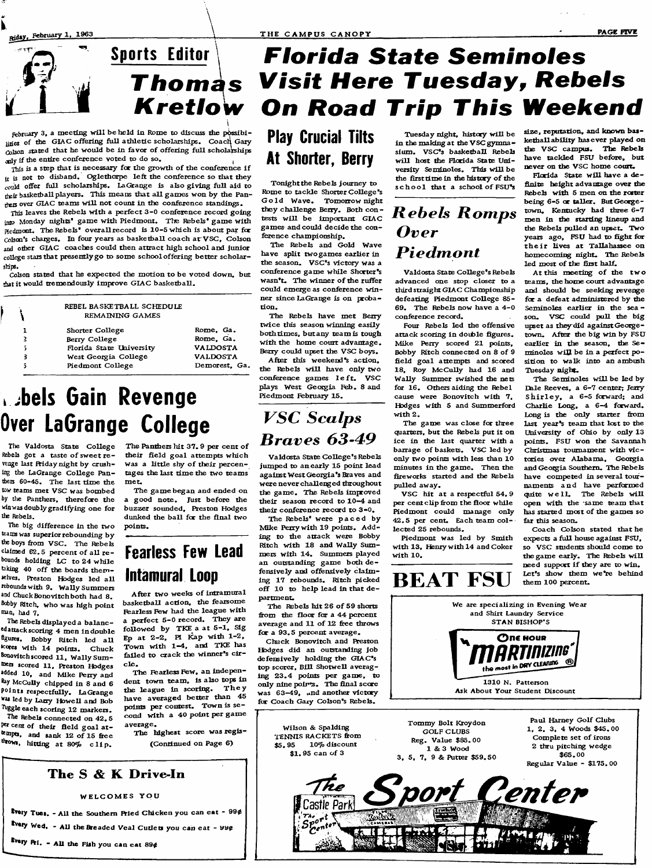



February 3, a meeting will be held in Rome to discuss the possibilities of the GIAC offering full athletic scholarships. Coach Gary (olson stated that he would be in favor of offering full scholarships anly if the entire conference voted to do so.

This is a step that is necessary for the growth of the conference if **n** 15 **not to disband. Oglethorpe left the conference so that they** could offer full scholarships. La Grange is also giving full aid to their basketball players. This means that all games won by the Pan**niers over GIAC teams w ill not count in the conference standings.**

**This leaves the Rebels with a perfect 3 -0 conference record going** inp Monday nights' game with Piedmont. The Rebels' game with **Hedmocr, The Rebels' overallrecord is 10-5 which is about par foe** Colson's charges. In four years as basketball coach at VSC, Colson **and other GIAC coaches could then attract high school and junior college stars that presently go to some school offering better scholariHps.**

**CoJson stated that he expected the motion to be voted down, but that it would tremendously improve G IAC baskethall.**

> **REBEL BASKETBALL SCHEDULE REMAINING GAMES** Shorter College Rome, Ga.<br>
> Rerry College Rome, Ga. **Berry College 1988**<br> **Elorida State University 1988**<br> **Elorida State University 1988 Florida State university VALDOSTA West Georgia College VALDOSTA** Piedmont College

## **bels Gain Revenge Over LaGrange College**

**The Valdosta State College Rebels** got a taste of sweet re**venge last Hiday night by crushing the LaGrange College Pan**thers 60-45. The last time the **tow teams met VSC was bombed by the Panthers, therefore the vinwas doublygradifying one for the Rebeis.**

 $\mathcal{L}$ 

**The big difference in the two teams was superior rebounding by** the boys from VSC. The Rebels claimed 62.5 percent of all re**bounds holding LC to 24 while** taking 40 off the boards them-**Mlves. Preston Hodges led a ll rebounds with 9. Wally Summers** and Chuck Bonovitch both had 8. **Bobby Ritch, who was high point mati, had 7.**

**The Rebels displayed a balanced attack scoring 4 men in double** figures. Bobby Ritch led all **\*eotcs with 14 points. Chuck Bonovitchscored 11, Wally Sumtoers scored 11, Preston Hedges added lo, and Mike Perry and Ray McCuUy chipped in 8 and 6 points respectfully. LaGrange was led by Larry HoweU and Bob** Tuggle each scoring 12 markers.

**The Rebels connected on 42. 6** per cent of their field goal attempts, and sank 12 of 15 free **hitRng at 80% clip.**

The Panthers hit 37.9 per cent of their field goal attempts which was a little shy of their percen**tages the last time the two teams mer.**

**a good note. Just before the buzzer sounded, Preston Hodges** dunked the ball for the final two **points.**

## **Fearless Few Lead intamura! Loop**

After two weeks of intramural **baskethall action, the fearsome l^arless Few had the league with a perfect 5 -0 record. They are foUowed by TKE a at 5 -1 , Sig Ep at 2 -2 , PI Icap with 1-2 , Town with 1 -4 , and TKE has failed to crack the winner's circ le .**

The Fearless Few, an independent town team, is also tops in<br>the league in scoring. They the league in scoring. **have averaged better than 45 points per contest. Town is se**cond with a 40 point per game **average.**

The highest score was regis-**(ConRnued on Page 6)**

## **r b o F n ^ s VfsFt Here Tuesday, Rebels** Kretlow On Road Trip This Weekend **Florida State Seminoles**

**Play Crucial Tilts At Shorter, Berry** 

**Toriightthe Rebels journey to Rome to tackle Shorter College's** Gold Wave. Tomorrow night **they chaUenge Berry. Both con tests WiU be important GIAC game& and could decide the conference championship.**

**The Rebels and Gold Wave have split two games earlier in the season. VSC's victory was a** conference game while Shorter's wasn't. The winner of the ruffer **could emerge as conference winner since LaGrange is on proba-Ron.**

**The Rebels have met Berry twice this season winning easily** both times, but any team is tough **with the home court advaritage. Berry could upset the VSC boys.**

**After this weekend's acRon, the Rebels will have only two conference games left. VSC plays West Georgia Feb. 8 and** Piedmont February 15.

**VSC** Scalps **Braves 63-49** 

**Valdosta State College's Rebels jumped to an early 15 point lead against West Georgia's Braves and** were never challenged throughout the game. The Rebels improved their season record to 10-4 and their conference record to 3-0.

**NEke Perry with 19 points. Add**  ing to the attack were Bobby **Ritch with 18 and WaUy Suman outstanding game both defensively and offensiveJy c laim**  off 10 to help lead in that de**partment:.**

The Rebels hit 26 of 59 shorts **Rom the floor for a 44 percent** average and 11 of 12 free throws **for a 93.5 percent average.**

**Chuck Bonovitch and Hreston Hedges did an outstanding job** defensively holding the GIAC's **top scorer. B ill ShotweU averaging 23 .4 points per game, to only nine points. The Rnal score was 63-49, ..nd another victory** for Coach Gary Colson's Rebels.

Tuesday night, history will be **in the making at the VSC gymna**sium. VSC<sup>'s</sup> basketball Rebels will host the Florida State Uni**versity Seminoles. This w iU be** the first time in the history of the school that a school of FSU's

### **Rebels Romps** Over **Piedmont**

**Valdosta State College's Rebels advanced one stop closer to a** third straight GIAC Championship **defeating Piedmont CoUege 85- 69. The Rebels now have a 4-0 conierence record.**

Four Rebels led the offensive **attack scoring in dodble Rgures. Mike Perry scored 21 points,** Bobby Ritch connected on 8 of 9 field goal attempts and scored **18, Roy McCuUy had 16 and WaUy Summer swished the nets for 16. Others aiding the Rebel cause were Bonovitch with 7, Hedges with 5 and Summerford with 2.**

**The game was close for three quarters, but the Rebels put it on ice in the last quarter with a** barrage of baskets. VSC led by **only two points with less than 10** minutes in the game. Then the **Rreworks started and the Rebels pulled away.**

**VSC hit at a respectful 54. 9 per cent cup Rom the Roor while Piedmont could manage only 42.5 per cent. Each team collected 25 rebounds.**

Piedmont was led by Smith with 13, Henry with 14 and Coker **with 10.**

**size, reputation, and known baskethall ability has ever played on the VSC campus. The Rebels have tackled FSU before, but never on the VSC home court.**

**Florida** State will have a de-**Rnite height advantage over the Rebels with 5 men on the roster being 6-5 or taller. But George**town, Kentucky had three  $6 - 7$ **men in the starting lineup and the Rebels pulled an upser. Two years ago, FSU had to Rght for their Uves at Tallahassee on homecoming nighr. The Rebels** led most of the first half.

At this meeting of the two **teams, the home court advantage and should be seeking revenge for a defeat administered by the Seminoles earlier in the sea**  son. VSC could pull the big upset as they did against George**town. After the big win by FSU earlier in the season, the Se**minoles will be in a perfect po**sition to walk into an ambush Tuesday nighr.**

The Seminoles will be led by Dale Reeves, a 6-7 center; Jenry **Shirley, a 6-5 forward; and** Charlie Long, a 6-4 forward. Long is the only starter from **last year's team that lost to the University of Ohio by only 13 points. FSU won the Savannah Christmas** tournament with vic**tories over A labama, Georgia and Georgia Southern. The Rebels have competed in several tournaments an d have performed** quite well. The Rebels will **open with the same team that** has started most of the games so far this season.

**Coach Colson stated that he expects a full house against FSU, so VSC students should come to** the game early. The Rebels will need support if they are to win. Let's show them we're behind **them 100 percent.**





**Every Pri. - All the Fish you can eat 89¢** 

**The S & K Drive^ln**

**WELCOMES YOU**

**tvery Tues. - All the Southern Pried Chicken you can eat - 99¢ ^sry Wed. - AU theBeeaded Veal Cutlets you can eat - 9up**



**The Rebels' were paced by**

**mers with 14. Summers played** ing 17 rebounds. Ritch picked